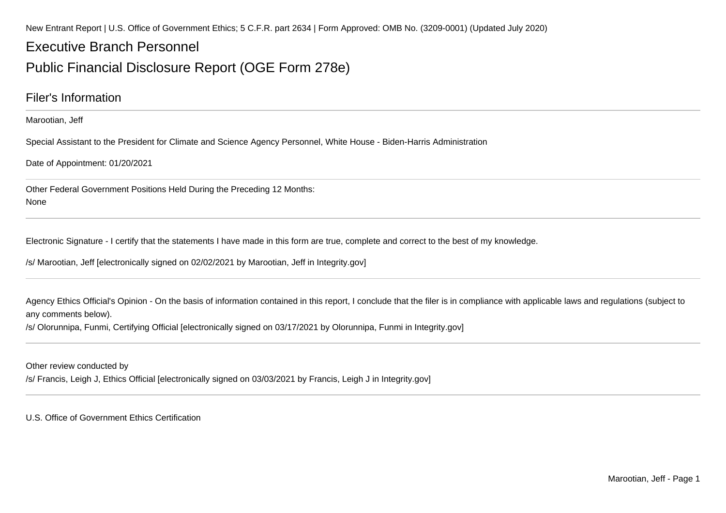New Entrant Report | U.S. Office of Government Ethics; 5 C.F.R. part 2634 | Form Approved: OMB No. (3209-0001) (Updated July 2020)

# Executive Branch Personnel

# Public Financial Disclosure Report (OGE Form 278e)

### Filer's Information

Marootian, Jeff

Special Assistant to the President for Climate and Science Agency Personnel, White House - Biden-Harris Administration

Date of Appointment: 01/20/2021

Other Federal Government Positions Held During the Preceding 12 Months:None

Electronic Signature - I certify that the statements I have made in this form are true, complete and correct to the best of my knowledge.

/s/ Marootian, Jeff [electronically signed on 02/02/2021 by Marootian, Jeff in Integrity.gov]

Agency Ethics Official's Opinion - On the basis of information contained in this report, I conclude that the filer is in compliance with applicable laws and regulations (subject to any comments below).

/s/ Olorunnipa, Funmi, Certifying Official [electronically signed on 03/17/2021 by Olorunnipa, Funmi in Integrity.gov]

Other review conducted by

/s/ Francis, Leigh J, Ethics Official [electronically signed on 03/03/2021 by Francis, Leigh J in Integrity.gov]

U.S. Office of Government Ethics Certification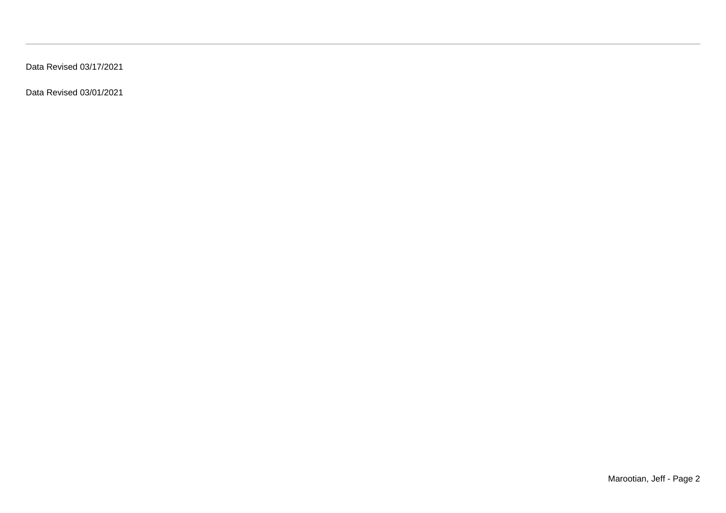Data Revised 03/17/2021

Data Revised 03/01/2021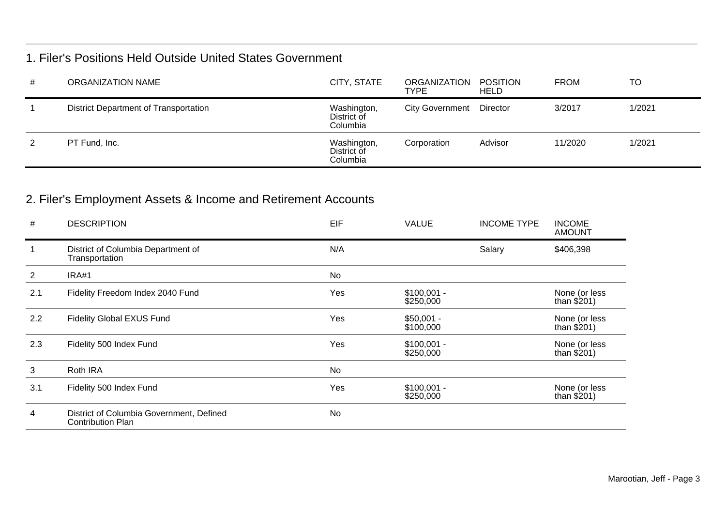### 1. Filer's Positions Held Outside United States Government

| # | ORGANIZATION NAME                     | CITY, STATE                            | ORGANIZATION POSITION<br><b>TYPE</b> | <b>HELD</b> | <b>FROM</b> | <b>TO</b> |
|---|---------------------------------------|----------------------------------------|--------------------------------------|-------------|-------------|-----------|
|   | District Department of Transportation | Washington,<br>District of<br>Columbia | City Government Director             |             | 3/2017      | 1/2021    |
| 2 | PT Fund, Inc.                         | Washington,<br>District of<br>Columbia | Corporation                          | Advisor     | 11/2020     | 1/2021    |

# 2. Filer's Employment Assets & Income and Retirement Accounts

| #              | <b>DESCRIPTION</b>                                                   | EIF | <b>VALUE</b>              | <b>INCOME TYPE</b> | <b>INCOME</b><br><b>AMOUNT</b> |
|----------------|----------------------------------------------------------------------|-----|---------------------------|--------------------|--------------------------------|
|                | District of Columbia Department of<br>Transportation                 | N/A |                           | Salary             | \$406,398                      |
| $\overline{2}$ | IRA#1                                                                | No  |                           |                    |                                |
| 2.1            | Fidelity Freedom Index 2040 Fund                                     | Yes | $$100,001 -$<br>\$250,000 |                    | None (or less<br>than $$201)$  |
| 2.2            | <b>Fidelity Global EXUS Fund</b>                                     | Yes | $$50,001 -$<br>\$100,000  |                    | None (or less<br>than $$201)$  |
| 2.3            | Fidelity 500 Index Fund                                              | Yes | $$100,001 -$<br>\$250,000 |                    | None (or less<br>than $$201)$  |
| 3              | Roth IRA                                                             | No  |                           |                    |                                |
| 3.1            | Fidelity 500 Index Fund                                              | Yes | $$100,001 -$<br>\$250,000 |                    | None (or less<br>than $$201)$  |
| 4              | District of Columbia Government, Defined<br><b>Contribution Plan</b> | No  |                           |                    |                                |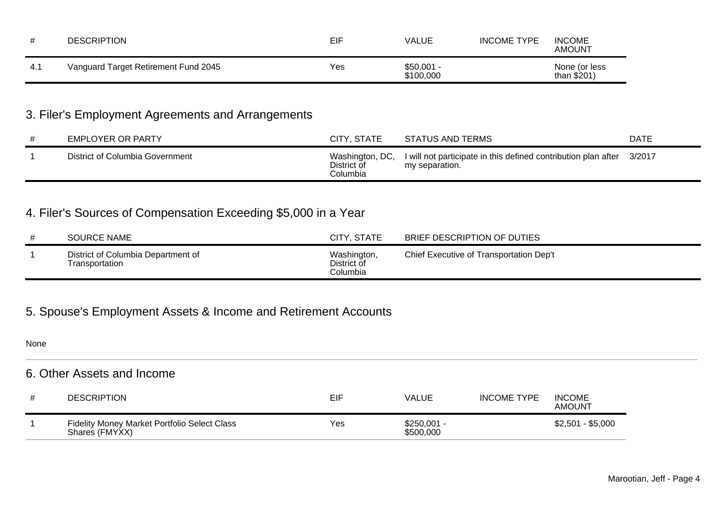| <b>DESCRIPTION</b>                   | EIF | VALUE                    | <b>INCOME TYPE</b> | <b>INCOME</b><br><b>AMOUNT</b> |
|--------------------------------------|-----|--------------------------|--------------------|--------------------------------|
| Vanguard Target Retirement Fund 2045 | Yes | $$50,001 -$<br>\$100,000 |                    | None (or less<br>than $$201)$  |

# 3. Filer's Employment Agreements and Arrangements

| EMPLOYER OR PARTY               | CITY, STATE                                | STATUS AND TERMS                                                                 | <b>DATE</b> |
|---------------------------------|--------------------------------------------|----------------------------------------------------------------------------------|-------------|
| District of Columbia Government | Washington, DC,<br>District of<br>Columbia | I will not participate in this defined contribution plan after<br>my separation. | 3/2017      |

# 4. Filer's Sources of Compensation Exceeding \$5,000 in a Year

| <b>SOURCE NAME</b>                                   | CITY, STATE                            | BRIEF DESCRIPTION OF DUTIES             |  |
|------------------------------------------------------|----------------------------------------|-----------------------------------------|--|
| District of Columbia Department of<br>Transportation | Washington,<br>District of<br>Columbia | Chief Executive of Transportation Dep't |  |

# 5. Spouse's Employment Assets & Income and Retirement Accounts

| None                       |                                                                |     |                           |                    |                         |  |
|----------------------------|----------------------------------------------------------------|-----|---------------------------|--------------------|-------------------------|--|
| 6. Other Assets and Income |                                                                |     |                           |                    |                         |  |
| #                          | <b>DESCRIPTION</b>                                             | EIF | <b>VALUE</b>              | <b>INCOME TYPE</b> | <b>INCOME</b><br>AMOUNT |  |
|                            | Fidelity Money Market Portfolio Select Class<br>Shares (FMYXX) | Yes | $$250,001 -$<br>\$500,000 |                    | $$2,501 - $5,000$       |  |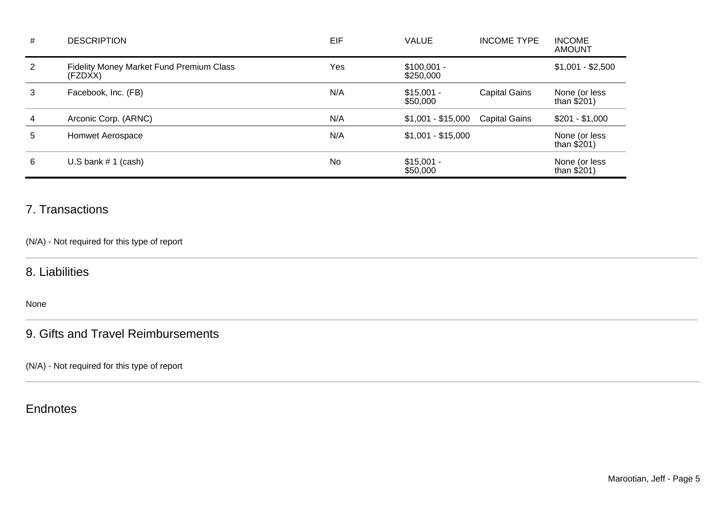| # | <b>DESCRIPTION</b>                                  | EIF | <b>VALUE</b>              | <b>INCOME TYPE</b>   | <b>INCOME</b><br><b>AMOUNT</b> |
|---|-----------------------------------------------------|-----|---------------------------|----------------------|--------------------------------|
| 2 | Fidelity Money Market Fund Premium Class<br>(FZDXX) | Yes | $$100,001 -$<br>\$250,000 |                      | $$1,001 - $2,500$              |
| 3 | Facebook, Inc. (FB)                                 | N/A | $$15,001 -$<br>\$50,000   | <b>Capital Gains</b> | None (or less<br>than $$201)$  |
| 4 | Arconic Corp. (ARNC)                                | N/A | $$1,001 - $15,000$        | <b>Capital Gains</b> | $$201 - $1,000$                |
| 5 | Homwet Aerospace                                    | N/A | $$1,001 - $15,000$        |                      | None (or less<br>than $$201)$  |
| 6 | U.S bank $# 1$ (cash)                               | No  | $$15,001 -$<br>\$50,000   |                      | None (or less<br>than \$201)   |

### 7. Transactions

(N/A) - Not required for this type of report

### 8. Liabilities

None

### 9. Gifts and Travel Reimbursements

(N/A) - Not required for this type of report

## **Endnotes**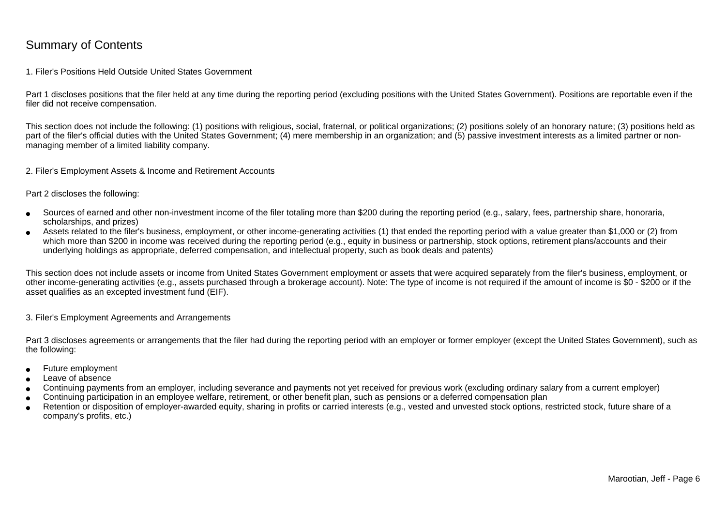### Summary of Contents

#### 1. Filer's Positions Held Outside United States Government

Part 1 discloses positions that the filer held at any time during the reporting period (excluding positions with the United States Government). Positions are reportable even if the filer did not receive compensation.

This section does not include the following: (1) positions with religious, social, fraternal, or political organizations; (2) positions solely of an honorary nature; (3) positions held aspart of the filer's official duties with the United States Government; (4) mere membership in an organization; and (5) passive investment interests as a limited partner or nonmanaging member of a limited liability company.

2. Filer's Employment Assets & Income and Retirement Accounts

Part 2 discloses the following:

- ●Sources of earned and other non-investment income of the filer totaling more than \$200 during the reporting period (e.g., salary, fees, partnership share, honoraria,scholarships, and prizes)
- ● Assets related to the filer's business, employment, or other income-generating activities (1) that ended the reporting period with a value greater than \$1,000 or (2) fromwhich more than \$200 in income was received during the reporting period (e.g., equity in business or partnership, stock options, retirement plans/accounts and their underlying holdings as appropriate, deferred compensation, and intellectual property, such as book deals and patents)

This section does not include assets or income from United States Government employment or assets that were acquired separately from the filer's business, employment, or other income-generating activities (e.g., assets purchased through a brokerage account). Note: The type of income is not required if the amount of income is \$0 - \$200 or if theasset qualifies as an excepted investment fund (EIF).

3. Filer's Employment Agreements and Arrangements

Part 3 discloses agreements or arrangements that the filer had during the reporting period with an employer or former employer (except the United States Government), such as the following:

- ●Future employment
- ●Leave of absence
- ●Continuing payments from an employer, including severance and payments not yet received for previous work (excluding ordinary salary from a current employer)
- ●Continuing participation in an employee welfare, retirement, or other benefit plan, such as pensions or a deferred compensation plan
- ● Retention or disposition of employer-awarded equity, sharing in profits or carried interests (e.g., vested and unvested stock options, restricted stock, future share of acompany's profits, etc.)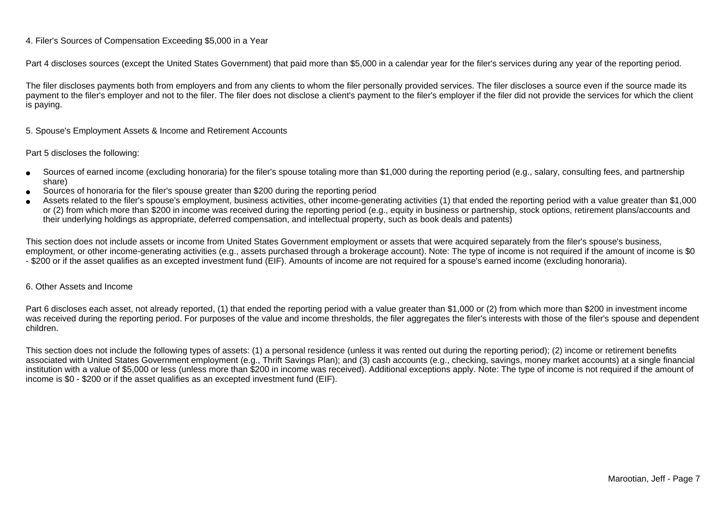### 4. Filer's Sources of Compensation Exceeding \$5,000 in a Year

Part 4 discloses sources (except the United States Government) that paid more than \$5,000 in a calendar year for the filer's services during any year of the reporting period.

The filer discloses payments both from employers and from any clients to whom the filer personally provided services. The filer discloses a source even if the source made itspayment to the filer's employer and not to the filer. The filer does not disclose a client's payment to the filer's employer if the filer did not provide the services for which the client is paying.

5. Spouse's Employment Assets & Income and Retirement Accounts

#### Part 5 discloses the following:

- ●Sources of earned income (excluding honoraria) for the filer's spouse totaling more than \$1,000 during the reporting period (e.g., salary, consulting fees, and partnershipshare)
- ●Sources of honoraria for the filer's spouse greater than \$200 during the reporting period
- ● Assets related to the filer's spouse's employment, business activities, other income-generating activities (1) that ended the reporting period with a value greater than \$1,000or (2) from which more than \$200 in income was received during the reporting period (e.g., equity in business or partnership, stock options, retirement plans/accounts and their underlying holdings as appropriate, deferred compensation, and intellectual property, such as book deals and patents)

This section does not include assets or income from United States Government employment or assets that were acquired separately from the filer's spouse's business,employment, or other income-generating activities (e.g., assets purchased through a brokerage account). Note: The type of income is not required if the amount of income is \$0 - \$200 or if the asset qualifies as an excepted investment fund (EIF). Amounts of income are not required for a spouse's earned income (excluding honoraria).

#### 6. Other Assets and Income

Part 6 discloses each asset, not already reported, (1) that ended the reporting period with a value greater than \$1,000 or (2) from which more than \$200 in investment income was received during the reporting period. For purposes of the value and income thresholds, the filer aggregates the filer's interests with those of the filer's spouse and dependentchildren.

This section does not include the following types of assets: (1) a personal residence (unless it was rented out during the reporting period); (2) income or retirement benefits associated with United States Government employment (e.g., Thrift Savings Plan); and (3) cash accounts (e.g., checking, savings, money market accounts) at a single financial institution with a value of \$5,000 or less (unless more than \$200 in income was received). Additional exceptions apply. Note: The type of income is not required if the amount ofincome is \$0 - \$200 or if the asset qualifies as an excepted investment fund (EIF).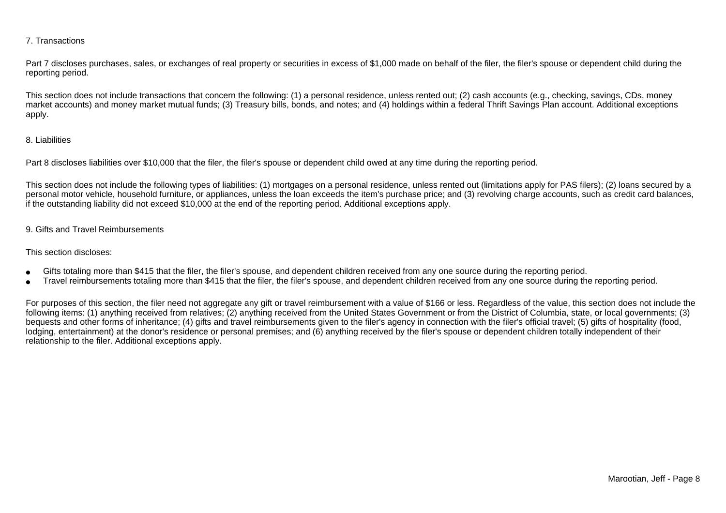### 7. Transactions

Part 7 discloses purchases, sales, or exchanges of real property or securities in excess of \$1,000 made on behalf of the filer, the filer's spouse or dependent child during the reporting period.

This section does not include transactions that concern the following: (1) a personal residence, unless rented out; (2) cash accounts (e.g., checking, savings, CDs, money market accounts) and money market mutual funds; (3) Treasury bills, bonds, and notes; and (4) holdings within a federal Thrift Savings Plan account. Additional exceptionsapply.

### 8. Liabilities

Part 8 discloses liabilities over \$10,000 that the filer, the filer's spouse or dependent child owed at any time during the reporting period.

This section does not include the following types of liabilities: (1) mortgages on a personal residence, unless rented out (limitations apply for PAS filers); (2) loans secured by a personal motor vehicle, household furniture, or appliances, unless the loan exceeds the item's purchase price; and (3) revolving charge accounts, such as credit card balances,if the outstanding liability did not exceed \$10,000 at the end of the reporting period. Additional exceptions apply.

### 9. Gifts and Travel Reimbursements

#### This section discloses:

- ●Gifts totaling more than \$415 that the filer, the filer's spouse, and dependent children received from any one source during the reporting period.
- ●Travel reimbursements totaling more than \$415 that the filer, the filer's spouse, and dependent children received from any one source during the reporting period.

For purposes of this section, the filer need not aggregate any gift or travel reimbursement with a value of \$166 or less. Regardless of the value, this section does not include the following items: (1) anything received from relatives; (2) anything received from the United States Government or from the District of Columbia, state, or local governments; (3)bequests and other forms of inheritance; (4) gifts and travel reimbursements given to the filer's agency in connection with the filer's official travel; (5) gifts of hospitality (food,lodging, entertainment) at the donor's residence or personal premises; and (6) anything received by the filer's spouse or dependent children totally independent of theirrelationship to the filer. Additional exceptions apply.